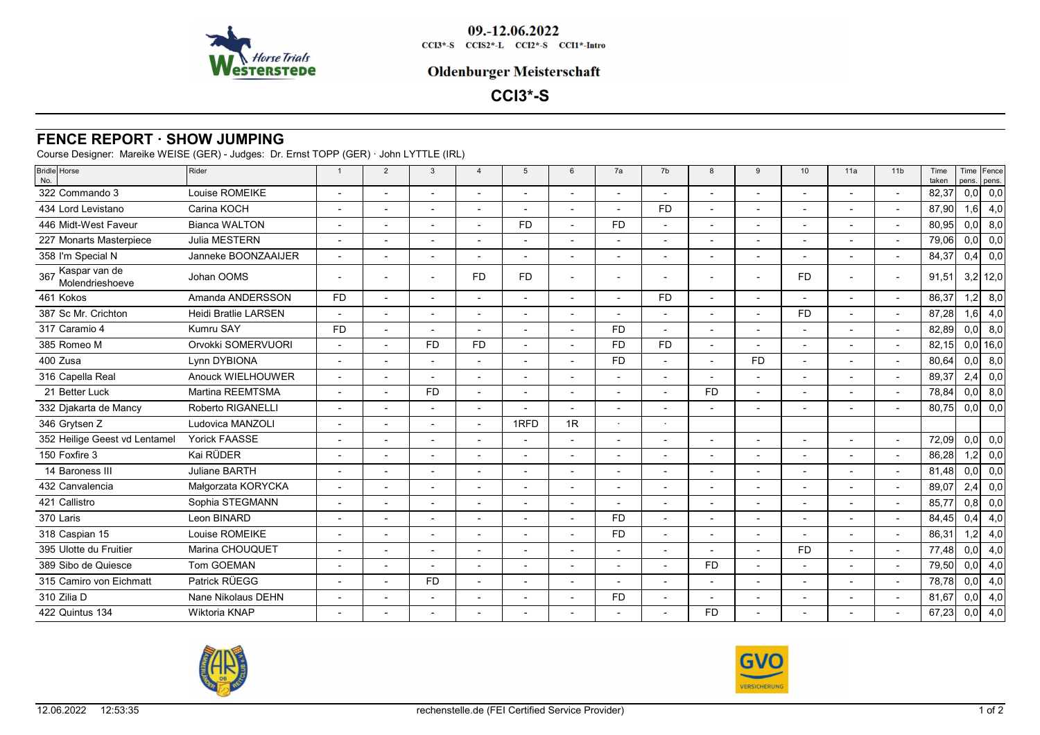

09.-12.06.2022  $CCI3*-S$   $CCI52*-L$   $CCI2*-S$   $CCI1*-Intro$ 

## **Oldenburger Meisterschaft**

**CCI3\*-S**

## **FENCE REPORT · SHOW JUMPING**

Course Designer: Mareike WEISE (GER) - Judges: Dr. Ernst TOPP (GER) · John LYTTLE (IRL)

| <b>Bridle</b> Horse<br>No.           | Rider                       |                          | $\overline{2}$           | $\mathbf{3}$ | $\overline{4}$           | 5         | 6                        | 7a                       | 7b        | 8                        | 9                        | 10                       | 11a                      | 11 <sub>b</sub> | Time<br>taken | pens. | Time Fence<br>pens. |
|--------------------------------------|-----------------------------|--------------------------|--------------------------|--------------|--------------------------|-----------|--------------------------|--------------------------|-----------|--------------------------|--------------------------|--------------------------|--------------------------|-----------------|---------------|-------|---------------------|
| 322 Commando 3                       | Louise ROMEIKE              |                          |                          |              | $\overline{a}$           |           |                          |                          |           | $\overline{a}$           |                          |                          |                          |                 | 82,37         | 0,0   | 0,0                 |
| 434 Lord Levistano                   | Carina KOCH                 |                          |                          |              | $\overline{\phantom{a}}$ |           |                          |                          | <b>FD</b> | ٠                        |                          |                          |                          |                 | 87,90         | 1,6   | 4,0                 |
| 446 Midt-West Faveur                 | <b>Bianca WALTON</b>        | $\overline{a}$           |                          |              | $\overline{a}$           | <b>FD</b> |                          | <b>FD</b>                |           | $\overline{a}$           |                          |                          |                          |                 | 80,95         | 0,0   | 8,0                 |
| 227 Monarts Masterpiece              | Julia MESTERN               | $\blacksquare$           |                          |              | $\overline{a}$           |           |                          |                          |           | $\overline{a}$           |                          |                          |                          |                 | 79,06         | 0,0   | 0,0                 |
| 358 I'm Special N                    | Janneke BOONZAAIJER         |                          |                          |              |                          |           |                          |                          |           |                          |                          |                          |                          |                 | 84,37         | 0,4   | 0,0                 |
| 367 Kaspar van de<br>Molendrieshoeve | Johan OOMS                  | $\overline{\phantom{a}}$ |                          |              | <b>FD</b>                | <b>FD</b> | $\overline{a}$           |                          |           | ۰                        |                          | <b>FD</b>                |                          |                 | 91,51         |       | $3,2$ 12,0          |
| 461 Kokos                            | Amanda ANDERSSON            | <b>FD</b>                |                          |              | $\overline{a}$           |           |                          |                          | <b>FD</b> | $\overline{\phantom{a}}$ |                          |                          |                          |                 | 86,37         | 1,2   | 8,0                 |
| 387 Sc Mr. Crichton                  | <b>Heidi Bratlie LARSEN</b> | $\overline{\phantom{a}}$ | $\overline{a}$           |              | $\overline{a}$           |           | $\overline{a}$           |                          |           | $\overline{a}$           | $\overline{\phantom{a}}$ | <b>FD</b>                |                          |                 | 87,28         | 1,6   | 4,0                 |
| 317 Caramio 4                        | Kumru SAY                   | <b>FD</b>                |                          |              |                          |           |                          | F <sub>D</sub>           |           |                          |                          |                          |                          |                 | 82,89         | 0,0   | 8,0                 |
| 385 Romeo M                          | Orvokki SOMERVUORI          |                          |                          | <b>FD</b>    | <b>FD</b>                |           |                          | <b>FD</b>                | <b>FD</b> | $\overline{a}$           |                          |                          |                          |                 | 82,15         |       | $0,0$ 16,0          |
| 400 Zusa                             | Lynn DYBIONA                |                          |                          |              |                          |           |                          | <b>FD</b>                |           |                          | <b>FD</b>                |                          |                          |                 | 80,64         | 0,0   | 8,0                 |
| 316 Capella Real                     | Anouck WIELHOUWER           | $\overline{a}$           | $\overline{\phantom{a}}$ |              | $\blacksquare$           |           | $\overline{a}$           | $\blacksquare$           |           | ä,                       |                          | $\blacksquare$           | $\overline{\phantom{a}}$ |                 | 89,37         | 2,4   | 0,0                 |
| 21 Better Luck                       | Martina REEMTSMA            |                          |                          | <b>FD</b>    | $\overline{a}$           |           |                          |                          |           | <b>FD</b>                |                          |                          |                          |                 | 78,84         | 0,0   | 8,0                 |
| 332 Djakarta de Mancy                | Roberto RIGANELLI           | $\overline{a}$           |                          |              | $\overline{a}$           |           |                          |                          |           | $\overline{a}$           |                          |                          |                          |                 | 80,75         | 0,0   | 0,0                 |
| 346 Grytsen Z                        | Ludovica MANZOLI            |                          |                          |              | $\overline{a}$           | 1RFD      | 1R                       | $\ddot{\phantom{0}}$     |           |                          |                          |                          |                          |                 |               |       |                     |
| 352 Heilige Geest vd Lentamel        | <b>Yorick FAASSE</b>        | $\overline{a}$           |                          |              | $\overline{a}$           |           | $\overline{a}$           |                          |           | $\overline{a}$           |                          |                          |                          |                 | 72,09         | 0,0   | 0,0                 |
| 150 Foxfire 3                        | Kai RÜDER                   |                          |                          |              | $\overline{a}$           |           |                          |                          |           | ٠                        |                          |                          |                          |                 | 86,28         | 1,2   | 0,0                 |
| 14 Baroness III                      | Juliane BARTH               |                          |                          |              |                          |           |                          |                          |           |                          |                          |                          |                          |                 | 81,48         | 0,0   | 0,0                 |
| 432 Canvalencia                      | Małgorzata KORYCKA          | $\overline{a}$           |                          |              | $\overline{a}$           |           | $\overline{a}$           | $\overline{\phantom{a}}$ |           | $\overline{a}$           |                          | $\overline{\phantom{a}}$ |                          |                 | 89,07         | 2,4   | 0,0                 |
| 421 Callistro                        | Sophia STEGMANN             | $\blacksquare$           |                          |              | $\overline{a}$           |           | $\overline{\phantom{a}}$ |                          |           | ٠                        |                          |                          |                          |                 | 85.77         | 0,8   | 0,0                 |
| 370 Laris                            | Leon BINARD                 |                          |                          |              | L,                       |           |                          | F <sub>D</sub>           |           |                          |                          |                          |                          |                 | 84,45         | 0,4   | 4,0                 |
| 318 Caspian 15                       | Louise ROMEIKE              | $\overline{a}$           |                          |              | $\overline{a}$           |           |                          | <b>FD</b>                |           | $\overline{a}$           |                          |                          |                          |                 | 86,31         | 1,2   | 4,0                 |
| 395 Ulotte du Fruitier               | Marina CHOUQUET             |                          |                          |              | ÷,                       |           |                          |                          |           |                          |                          | <b>FD</b>                |                          |                 | 77,48         | 0,0   | 4,0                 |
| 389 Sibo de Quiesce                  | <b>Tom GOEMAN</b>           | $\blacksquare$           |                          |              | $\overline{a}$           |           |                          |                          |           | <b>FD</b>                |                          |                          |                          |                 | 79,50         | 0,0   | 4,0                 |
| 315 Camiro von Eichmatt              | Patrick RÜEGG               |                          |                          | <b>FD</b>    |                          |           |                          |                          |           |                          |                          |                          |                          |                 | 78,78         | 0,0   | 4,0                 |
| 310 Zilia D                          | Nane Nikolaus DEHN          | $\overline{\phantom{a}}$ |                          |              | $\overline{\phantom{a}}$ |           | $\overline{a}$           | <b>FD</b>                |           | ٠                        |                          | $\overline{\phantom{0}}$ |                          |                 | 81,67         | 0,0   | 4,0                 |
| 422 Quintus 134                      | Wiktoria KNAP               |                          |                          |              |                          |           |                          |                          |           | <b>FD</b>                |                          |                          |                          |                 | 67,23         | 0,0   | 4,0                 |
|                                      |                             |                          |                          |              |                          |           |                          |                          |           |                          |                          |                          |                          |                 |               |       |                     |